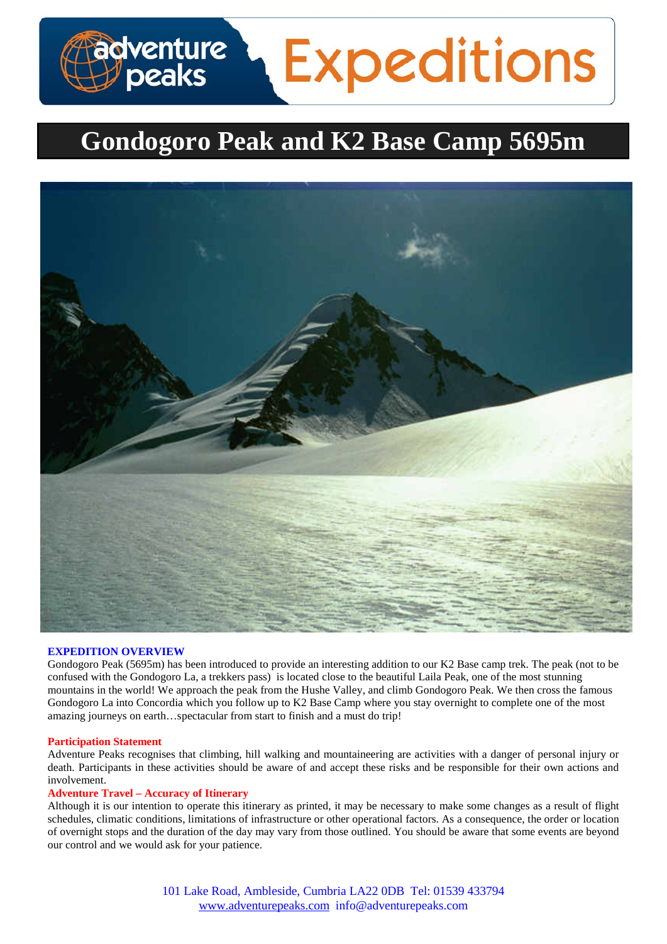# **dventure<br>/ peaks Expeditions**

# **Gondogoro Peak and K2 Base Camp 5695m**



#### **EXPEDITION OVERVIEW**

Gondogoro Peak (5695m) has been introduced to provide an interesting addition to our K2 Base camp trek. The peak (not to be confused with the Gondogoro La, a trekkers pass) is located close to the beautiful Laila Peak, one of the most stunning mountains in the world! We approach the peak from the Hushe Valley, and climb Gondogoro Peak. We then cross the famous Gondogoro La into Concordia which you follow up to K2 Base Camp where you stay overnight to complete one of the most amazing journeys on earth…spectacular from start to finish and a must do trip!

#### **Participation Statement**

Adventure Peaks recognises that climbing, hill walking and mountaineering are activities with a danger of personal injury or death. Participants in these activities should be aware of and accept these risks and be responsible for their own actions and involvement.

# **Adventure Travel – Accuracy of Itinerary**

Although it is our intention to operate this itinerary as printed, it may be necessary to make some changes as a result of flight schedules, climatic conditions, limitations of infrastructure or other operational factors. As a consequence, the order or location of overnight stops and the duration of the day may vary from those outlined. You should be aware that some events are beyond our control and we would ask for your patience.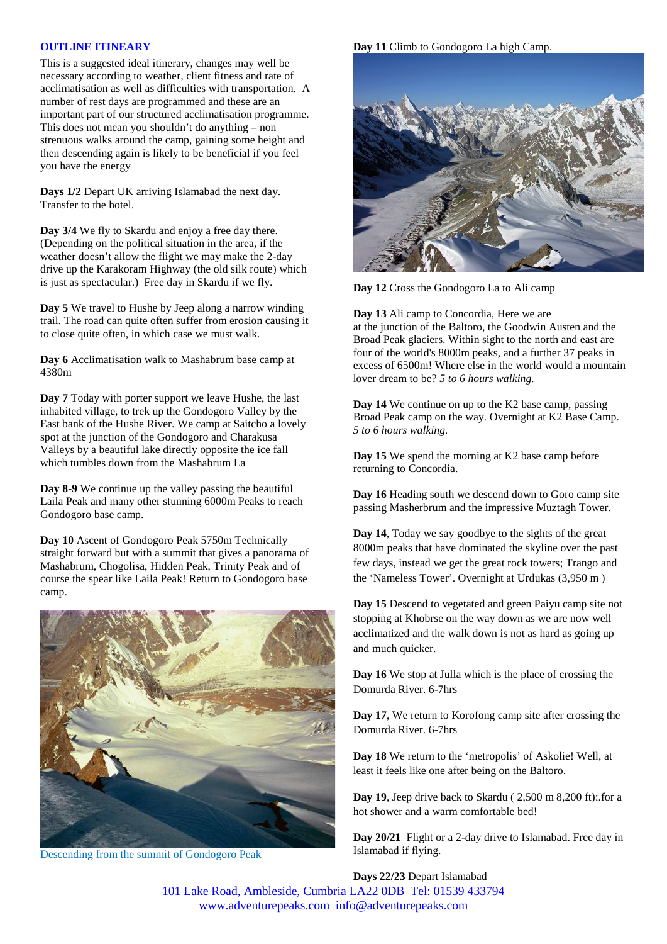#### **OUTLINE ITINEARY**

This is a suggested ideal itinerary, changes may well be necessary according to weather, client fitness and rate of acclimatisation as well as difficulties with transportation. A number of rest days are programmed and these are an important part of our structured acclimatisation programme. This does not mean you shouldn't do anything – non strenuous walks around the camp, gaining some height and then descending again is likely to be beneficial if you feel you have the energy

**Days 1/2** Depart UK arriving Islamabad the next day. Transfer to the hotel.

**Day 3/4** We fly to Skardu and enjoy a free day there. (Depending on the political situation in the area, if the weather doesn't allow the flight we may make the 2-day drive up the Karakoram Highway (the old silk route) which is just as spectacular.) Free day in Skardu if we fly.

**Day 5** We travel to Hushe by Jeep along a narrow winding trail. The road can quite often suffer from erosion causing it to close quite often, in which case we must walk.

**Day 6** Acclimatisation walk to Mashabrum base camp at 4380m

**Day 7** Today with porter support we leave Hushe, the last inhabited village, to trek up the Gondogoro Valley by the East bank of the Hushe River. We camp at Saitcho a lovely spot at the junction of the Gondogoro and Charakusa Valleys by a beautiful lake directly opposite the ice fall which tumbles down from the Mashabrum La

**Day 8-9** We continue up the valley passing the beautiful Laila Peak and many other stunning 6000m Peaks to reach Gondogoro base camp.

**Day 10** Ascent of Gondogoro Peak 5750m Technically straight forward but with a summit that gives a panorama of Mashabrum, Chogolisa, Hidden Peak, Trinity Peak and of course the spear like Laila Peak! Return to Gondogoro base camp.



Descending from the summit of Gondogoro Peak

**Day 11** Climb to Gondogoro La high Camp.



**Day 12** Cross the Gondogoro La to Ali camp

**Day 13** Ali camp to Concordia, Here we are at the junction of the Baltoro, the Goodwin Austen and the Broad Peak glaciers. Within sight to the north and east are four of the world's 8000m peaks, and a further 37 peaks in excess of 6500m! Where else in the world would a mountain lover dream to be? *5 to 6 hours walking.*

**Day 14** We continue on up to the K2 base camp, passing Broad Peak camp on the way. Overnight at K2 Base Camp. *5 to 6 hours walking.*

**Day 15** We spend the morning at K2 base camp before returning to Concordia.

**Day 16** Heading south we descend down to Goro camp site passing Masherbrum and the impressive Muztagh Tower.

**Day 14**, Today we say goodbye to the sights of the great 8000m peaks that have dominated the skyline over the past few days, instead we get the great rock towers; Trango and the 'Nameless Tower'. Overnight at Urdukas (3,950 m )

**Day 15** Descend to vegetated and green Paiyu camp site not stopping at Khobrse on the way down as we are now well acclimatized and the walk down is not as hard as going up and much quicker.

**Day 16** We stop at Julla which is the place of crossing the Domurda River. 6-7hrs

**Day 17**, We return to Korofong camp site after crossing the Domurda River. 6-7hrs

**Day 18** We return to the 'metropolis' of Askolie! Well, at least it feels like one after being on the Baltoro.

**Day 19**, Jeep drive back to Skardu ( 2,500 m 8,200 ft):.for a hot shower and a warm comfortable bed!

**Day 20/21** Flight or a 2-day drive to Islamabad. Free day in Islamabad if flying.

**Days 22/23** Depart Islamabad

101 Lake Road, Ambleside, Cumbria LA22 0DB Tel: 01539 433794 [www.adventurepeaks.com](http://www.adventurepeaks.com/) info@adventurepeaks.com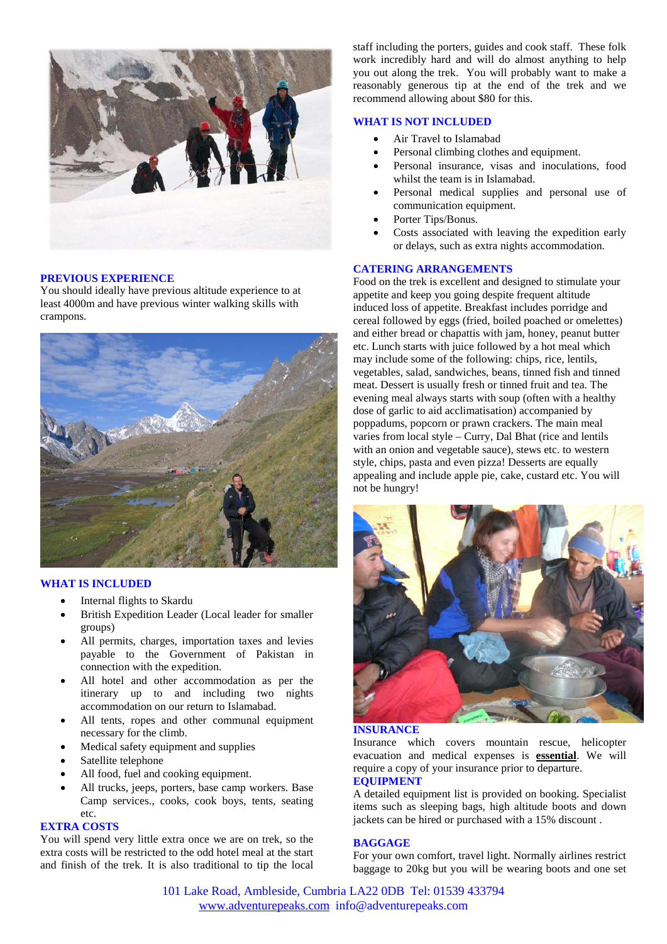

# **PREVIOUS EXPERIENCE**

You should ideally have previous altitude experience to at least 4000m and have previous winter walking skills with crampons.



# **WHAT IS INCLUDED**

- Internal flights to Skardu
- British Expedition Leader (Local leader for smaller groups)
- All permits, charges, importation taxes and levies payable to the Government of Pakistan in connection with the expedition.
- All hotel and other accommodation as per the itinerary up to and including two nights accommodation on our return to Islamabad.
- All tents, ropes and other communal equipment necessary for the climb.
- Medical safety equipment and supplies
- Satellite telephone
- All food, fuel and cooking equipment.
- All trucks, jeeps, porters, base camp workers. Base Camp services., cooks, cook boys, tents, seating etc.

### **EXTRA COSTS**

You will spend very little extra once we are on trek, so the extra costs will be restricted to the odd hotel meal at the start and finish of the trek. It is also traditional to tip the local

staff including the porters, guides and cook staff. These folk work incredibly hard and will do almost anything to help you out along the trek. You will probably want to make a reasonably generous tip at the end of the trek and we recommend allowing about \$80 for this.

## **WHAT IS NOT INCLUDED**

- Air Travel to Islamabad
- Personal climbing clothes and equipment.
- Personal insurance, visas and inoculations, food whilst the team is in Islamabad.
- Personal medical supplies and personal use of communication equipment.
- Porter Tips/Bonus.
- Costs associated with leaving the expedition early or delays, such as extra nights accommodation.

### **CATERING ARRANGEMENTS**

Food on the trek is excellent and designed to stimulate your appetite and keep you going despite frequent altitude induced loss of appetite. Breakfast includes porridge and cereal followed by eggs (fried, boiled poached or omelettes) and either bread or chapattis with jam, honey, peanut butter etc. Lunch starts with juice followed by a hot meal which may include some of the following: chips, rice, lentils, vegetables, salad, sandwiches, beans, tinned fish and tinned meat. Dessert is usually fresh or tinned fruit and tea. The evening meal always starts with soup (often with a healthy dose of garlic to aid acclimatisation) accompanied by poppadums, popcorn or prawn crackers. The main meal varies from local style – Curry, Dal Bhat (rice and lentils with an onion and vegetable sauce), stews etc. to western style, chips, pasta and even pizza! Desserts are equally appealing and include apple pie, cake, custard etc. You will not be hungry!



#### **INSURANCE**

Insurance which covers mountain rescue, helicopter evacuation and medical expenses is **essential**. We will require a copy of your insurance prior to departure.

# **EQUIPMENT**

A detailed equipment list is provided on booking. Specialist items such as sleeping bags, high altitude boots and down jackets can be hired or purchased with a 15% discount .

#### **BAGGAGE**

For your own comfort, travel light. Normally airlines restrict baggage to 20kg but you will be wearing boots and one set

101 Lake Road, Ambleside, Cumbria LA22 0DB Tel: 01539 433794 [www.adventurepeaks.com](http://www.adventurepeaks.com/) info@adventurepeaks.com